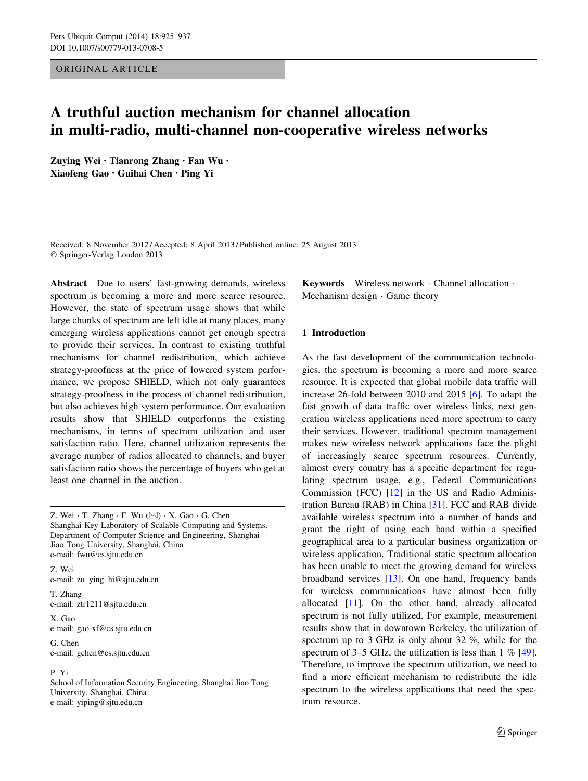ORIGINAL ARTICLE

# A truthful auction mechanism for channel allocation in multi-radio, multi-channel non-cooperative wireless networks

Zuying Wei • Tianrong Zhang • Fan Wu • Xiaofeng Gao • Guihai Chen • Ping Yi

Received: 8 November 2012 / Accepted: 8 April 2013 / Published online: 25 August 2013 © Springer-Verlag London 2013

Abstract Due to users' fast-growing demands, wireless spectrum is becoming a more and more scarce resource. However, the state of spectrum usage shows that while large chunks of spectrum are left idle at many places, many emerging wireless applications cannot get enough spectra to provide their services. In contrast to existing truthful mechanisms for channel redistribution, which achieve strategy-proofness at the price of lowered system performance, we propose SHIELD, which not only guarantees strategy-proofness in the process of channel redistribution, but also achieves high system performance. Our evaluation results show that SHIELD outperforms the existing mechanisms, in terms of spectrum utilization and user satisfaction ratio. Here, channel utilization represents the average number of radios allocated to channels, and buyer satisfaction ratio shows the percentage of buyers who get at least one channel in the auction.

Z. Wei  $\cdot$  T. Zhang  $\cdot$  F. Wu ( $\boxtimes$ )  $\cdot$  X. Gao  $\cdot$  G. Chen Shanghai Key Laboratory of Scalable Computing and Systems, Department of Computer Science and Engineering, Shanghai Jiao Tong University, Shanghai, China e-mail: fwu@cs.sjtu.edu.cn

Z. Wei e-mail: zu\_ying\_hi@sjtu.edu.cn

T. Zhang e-mail: ztr1211@sjtu.edu.cn

X. Gao e-mail: gao-xf@cs.sjtu.edu.cn

G. Chen e-mail: gchen@cs.sjtu.edu.cn

# P. Yi

School of Information Security Engineering, Shanghai Jiao Tong University, Shanghai, China e-mail: yiping@sjtu.edu.cn

Keywords Wireless network - Channel allocation - Mechanism design · Game theory

# 1 Introduction

As the fast development of the communication technologies, the spectrum is becoming a more and more scarce resource. It is expected that global mobile data traffic will increase 26-fold between 2010 and 2015 [[6\]](#page-11-0). To adapt the fast growth of data traffic over wireless links, next generation wireless applications need more spectrum to carry their services. However, traditional spectrum management makes new wireless network applications face the plight of increasingly scarce spectrum resources. Currently, almost every country has a specific department for regulating spectrum usage, e.g., Federal Communications Commission (FCC) [[12\]](#page-11-0) in the US and Radio Administration Bureau (RAB) in China [[31\]](#page-11-0). FCC and RAB divide available wireless spectrum into a number of bands and grant the right of using each band within a specified geographical area to a particular business organization or wireless application. Traditional static spectrum allocation has been unable to meet the growing demand for wireless broadband services [\[13](#page-11-0)]. On one hand, frequency bands for wireless communications have almost been fully allocated [[11\]](#page-11-0). On the other hand, already allocated spectrum is not fully utilized. For example, measurement results show that in downtown Berkeley, the utilization of spectrum up to 3 GHz is only about 32 %, while for the spectrum of 3–5 GHz, the utilization is less than  $1\%$  [\[49](#page-12-0)]. Therefore, to improve the spectrum utilization, we need to find a more efficient mechanism to redistribute the idle spectrum to the wireless applications that need the spectrum resource.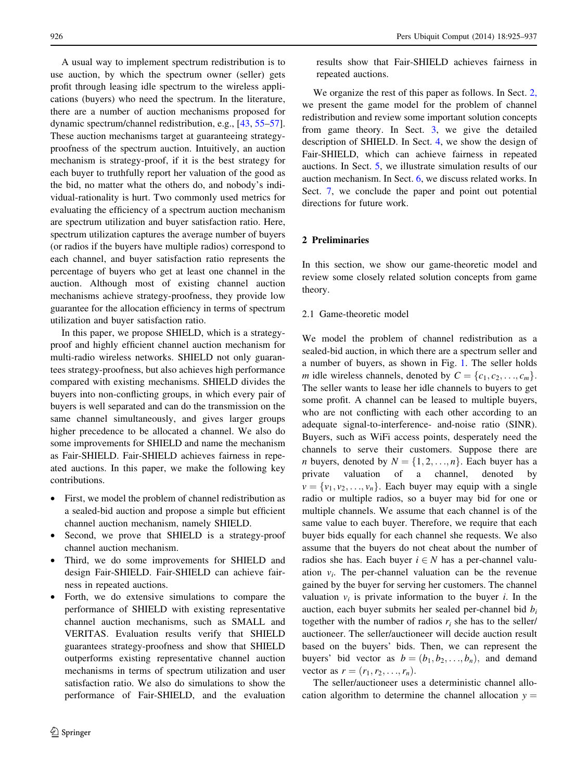A usual way to implement spectrum redistribution is to use auction, by which the spectrum owner (seller) gets profit through leasing idle spectrum to the wireless applications (buyers) who need the spectrum. In the literature, there are a number of auction mechanisms proposed for dynamic spectrum/channel redistribution, e.g., [\[43](#page-12-0), [55–57](#page-12-0)]. These auction mechanisms target at guaranteeing strategyproofness of the spectrum auction. Intuitively, an auction mechanism is strategy-proof, if it is the best strategy for each buyer to truthfully report her valuation of the good as the bid, no matter what the others do, and nobody's individual-rationality is hurt. Two commonly used metrics for evaluating the efficiency of a spectrum auction mechanism are spectrum utilization and buyer satisfaction ratio. Here, spectrum utilization captures the average number of buyers (or radios if the buyers have multiple radios) correspond to each channel, and buyer satisfaction ratio represents the percentage of buyers who get at least one channel in the auction. Although most of existing channel auction mechanisms achieve strategy-proofness, they provide low guarantee for the allocation efficiency in terms of spectrum utilization and buyer satisfaction ratio.

In this paper, we propose SHIELD, which is a strategyproof and highly efficient channel auction mechanism for multi-radio wireless networks. SHIELD not only guarantees strategy-proofness, but also achieves high performance compared with existing mechanisms. SHIELD divides the buyers into non-conflicting groups, in which every pair of buyers is well separated and can do the transmission on the same channel simultaneously, and gives larger groups higher precedence to be allocated a channel. We also do some improvements for SHIELD and name the mechanism as Fair-SHIELD. Fair-SHIELD achieves fairness in repeated auctions. In this paper, we make the following key contributions.

- First, we model the problem of channel redistribution as a sealed-bid auction and propose a simple but efficient channel auction mechanism, namely SHIELD.
- Second, we prove that SHIELD is a strategy-proof channel auction mechanism.
- Third, we do some improvements for SHIELD and design Fair-SHIELD. Fair-SHIELD can achieve fairness in repeated auctions.
- Forth, we do extensive simulations to compare the performance of SHIELD with existing representative channel auction mechanisms, such as SMALL and VERITAS. Evaluation results verify that SHIELD guarantees strategy-proofness and show that SHIELD outperforms existing representative channel auction mechanisms in terms of spectrum utilization and user satisfaction ratio. We also do simulations to show the performance of Fair-SHIELD, and the evaluation

results show that Fair-SHIELD achieves fairness in repeated auctions.

We organize the rest of this paper as follows. In Sect. 2, we present the game model for the problem of channel redistribution and review some important solution concepts from game theory. In Sect. [3,](#page-3-0) we give the detailed description of SHIELD. In Sect. [4](#page-5-0), we show the design of Fair-SHIELD, which can achieve fairness in repeated auctions. In Sect. [5,](#page-5-0) we illustrate simulation results of our auction mechanism. In Sect. [6,](#page-9-0) we discuss related works. In Sect. [7,](#page-10-0) we conclude the paper and point out potential directions for future work.

## 2 Preliminaries

In this section, we show our game-theoretic model and review some closely related solution concepts from game theory.

#### 2.1 Game-theoretic model

We model the problem of channel redistribution as a sealed-bid auction, in which there are a spectrum seller and a number of buyers, as shown in Fig. [1](#page-2-0). The seller holds m idle wireless channels, denoted by  $C = \{c_1, c_2, \ldots, c_m\}.$ The seller wants to lease her idle channels to buyers to get some profit. A channel can be leased to multiple buyers, who are not conflicting with each other according to an adequate signal-to-interference- and-noise ratio (SINR). Buyers, such as WiFi access points, desperately need the channels to serve their customers. Suppose there are *n* buyers, denoted by  $N = \{1, 2, ..., n\}$ . Each buyer has a private valuation of a channel, denoted by  $v = \{v_1, v_2, \ldots, v_n\}$ . Each buyer may equip with a single radio or multiple radios, so a buyer may bid for one or multiple channels. We assume that each channel is of the same value to each buyer. Therefore, we require that each buyer bids equally for each channel she requests. We also assume that the buyers do not cheat about the number of radios she has. Each buyer  $i \in N$  has a per-channel valuation  $v_i$ . The per-channel valuation can be the revenue gained by the buyer for serving her customers. The channel valuation  $v_i$  is private information to the buyer *i*. In the auction, each buyer submits her sealed per-channel bid  $b_i$ together with the number of radios  $r_i$  she has to the seller/ auctioneer. The seller/auctioneer will decide auction result based on the buyers' bids. Then, we can represent the buyers' bid vector as  $b = (b_1, b_2, \ldots, b_n)$ , and demand vector as  $r = (r_1, r_2, \ldots, r_n)$ .

The seller/auctioneer uses a deterministic channel allocation algorithm to determine the channel allocation  $y =$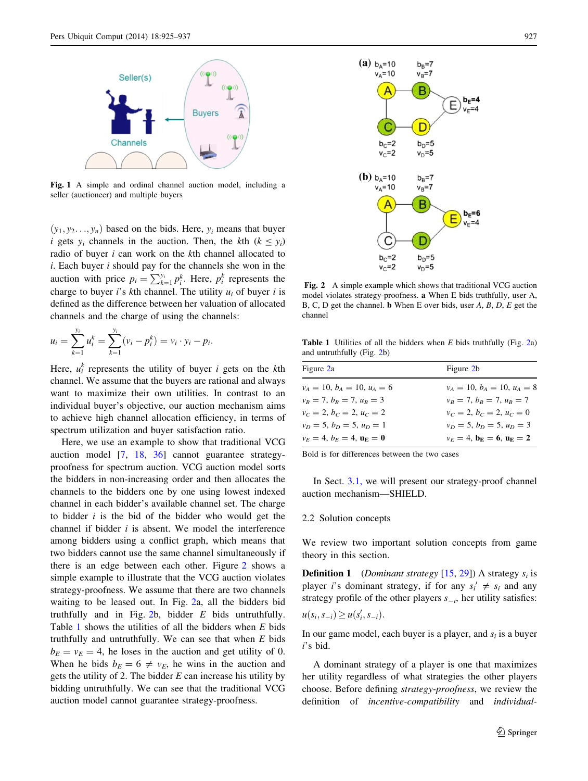<span id="page-2-0"></span>

Fig. 1 A simple and ordinal channel auction model, including a seller (auctioneer) and multiple buyers

 $(y_1, y_2, \ldots, y_n)$  based on the bids. Here,  $y_i$  means that buyer i gets  $y_i$  channels in the auction. Then, the kth  $(k \le y_i)$ radio of buyer  $i$  can work on the  $k$ th channel allocated to  $i.$  Each buyer  $i$  should pay for the channels she won in the auction with price  $p_i = \sum_{k=1}^{y_i} p_i^k$ . Here,  $p_i^k$  represents the charge to buyer *i*'s *k*th channel. The utility  $u_i$  of buyer *i* is defined as the difference between her valuation of allocated channels and the charge of using the channels:

$$
u_i = \sum_{k=1}^{y_i} u_i^k = \sum_{k=1}^{y_i} (v_i - p_i^k) = v_i \cdot y_i - p_i.
$$

Here,  $u_i^k$  represents the utility of buyer *i* gets on the *k*th channel. We assume that the buyers are rational and always want to maximize their own utilities. In contrast to an individual buyer's objective, our auction mechanism aims to achieve high channel allocation efficiency, in terms of spectrum utilization and buyer satisfaction ratio.

Here, we use an example to show that traditional VCG auction model [\[7](#page-11-0), [18](#page-11-0), [36](#page-12-0)] cannot guarantee strategyproofness for spectrum auction. VCG auction model sorts the bidders in non-increasing order and then allocates the channels to the bidders one by one using lowest indexed channel in each bidder's available channel set. The charge to bidder  $i$  is the bid of the bidder who would get the channel if bidder  $i$  is absent. We model the interference among bidders using a conflict graph, which means that two bidders cannot use the same channel simultaneously if there is an edge between each other. Figure 2 shows a simple example to illustrate that the VCG auction violates strategy-proofness. We assume that there are two channels waiting to be leased out. In Fig. 2a, all the bidders bid truthfully and in Fig. 2b, bidder  $E$  bids untruthfully. Table 1 shows the utilities of all the bidders when E bids truthfully and untruthfully. We can see that when  $E$  bids  $b_E = v_E = 4$ , he loses in the auction and get utility of 0. When he bids  $b_E = 6 \neq v_E$ , he wins in the auction and gets the utility of 2. The bidder  $E$  can increase his utility by bidding untruthfully. We can see that the traditional VCG auction model cannot guarantee strategy-proofness.





(a)  $b_A=10$ 

 $v_A = 10$ 

 $b<sub>C</sub>=2$ 

 $v_c = 2$ 

Fig. 2 A simple example which shows that traditional VCG auction model violates strategy-proofness. a When E bids truthfully, user A, B, C, D get the channel. b When E over bids, user A, B, D, E get the channel

Table 1 Utilities of all the bidders when  $E$  bids truthfully (Fig. 2a) and untruthfully (Fig. 2b)

| Figure 2a                     | Figure 2b                                           |
|-------------------------------|-----------------------------------------------------|
| $v_A = 10, b_A = 10, u_A = 6$ | $v_A = 10, b_A = 10, u_A = 8$                       |
| $v_B = 7, b_B = 7, u_B = 3$   | $v_B = 7, b_B = 7, u_B = 7$                         |
| $v_C = 2, b_C = 2, u_C = 2$   | $v_C = 2, b_C = 2, u_C = 0$                         |
| $v_D = 5, b_D = 5, u_D = 1$   | $v_D = 5, b_D = 5, u_D = 3$                         |
| $v_E = 4, b_E = 4, u_E = 0$   | $v_E = 4$ , $\mathbf{b}_E = 6$ , $\mathbf{u}_E = 2$ |

Bold is for differences between the two cases

In Sect. [3.1,](#page-3-0) we will present our strategy-proof channel auction mechanism—SHIELD.

# 2.2 Solution concepts

We review two important solution concepts from game theory in this section.

**Definition 1** (*Dominant strategy* [\[15](#page-11-0), [29](#page-11-0)]) A strategy  $s_i$  is player *i*'s dominant strategy, if for any  $s_i' \neq s_i$  and any strategy profile of the other players  $s_{-i}$ , her utility satisfies:

$$
u(s_i, s_{-i}) \geq u(s'_i, s_{-i}).
$$

In our game model, each buyer is a player, and  $s_i$  is a buyer i's bid.

A dominant strategy of a player is one that maximizes her utility regardless of what strategies the other players choose. Before defining strategy-proofness, we review the definition of incentive-compatibility and individual-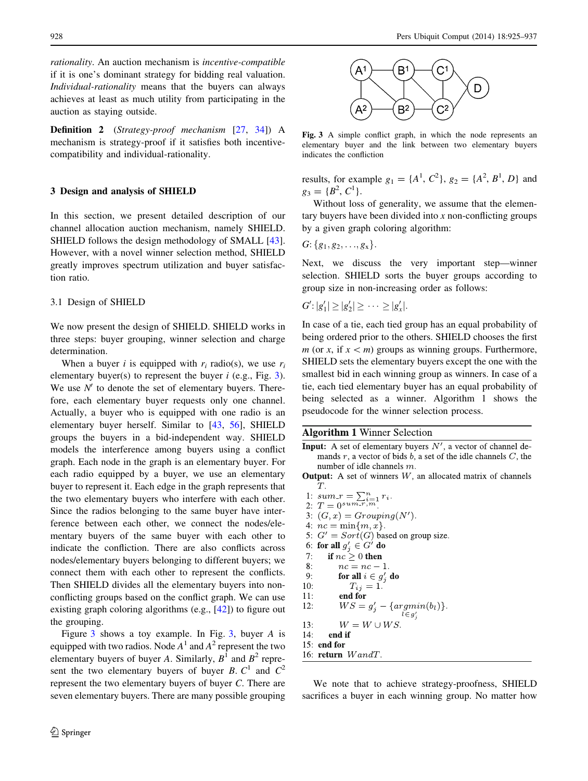<span id="page-3-0"></span>rationality. An auction mechanism is incentive-compatible if it is one's dominant strategy for bidding real valuation. Individual-rationality means that the buyers can always achieves at least as much utility from participating in the auction as staying outside.

Definition 2 (Strategy-proof mechanism [[27,](#page-11-0) [34](#page-12-0)]) A mechanism is strategy-proof if it satisfies both incentivecompatibility and individual-rationality.

#### 3 Design and analysis of SHIELD

In this section, we present detailed description of our channel allocation auction mechanism, namely SHIELD. SHIELD follows the design methodology of SMALL [\[43](#page-12-0)]. However, with a novel winner selection method, SHIELD greatly improves spectrum utilization and buyer satisfaction ratio.

#### 3.1 Design of SHIELD

We now present the design of SHIELD. SHIELD works in three steps: buyer grouping, winner selection and charge determination.

When a buyer *i* is equipped with  $r_i$  radio(s), we use  $r_i$ elementary buyer(s) to represent the buyer  $i$  (e.g., Fig. 3). We use  $N'$  to denote the set of elementary buyers. Therefore, each elementary buyer requests only one channel. Actually, a buyer who is equipped with one radio is an elementary buyer herself. Similar to [[43,](#page-12-0) [56\]](#page-12-0), SHIELD groups the buyers in a bid-independent way. SHIELD models the interference among buyers using a conflict graph. Each node in the graph is an elementary buyer. For each radio equipped by a buyer, we use an elementary buyer to represent it. Each edge in the graph represents that the two elementary buyers who interfere with each other. Since the radios belonging to the same buyer have interference between each other, we connect the nodes/elementary buyers of the same buyer with each other to indicate the confliction. There are also conflicts across nodes/elementary buyers belonging to different buyers; we connect them with each other to represent the conflicts. Then SHIELD divides all the elementary buyers into nonconflicting groups based on the conflict graph. We can use existing graph coloring algorithms (e.g., [[42\]](#page-12-0)) to figure out the grouping.

Figure 3 shows a toy example. In Fig. 3, buyer A is equipped with two radios. Node  $A<sup>1</sup>$  and  $A<sup>2</sup>$  represent the two elementary buyers of buyer A. Similarly,  $B^1$  and  $B^2$  represent the two elementary buyers of buyer B.  $C^1$  and  $C^2$ represent the two elementary buyers of buyer C. There are seven elementary buyers. There are many possible grouping



Fig. 3 A simple conflict graph, in which the node represents an elementary buyer and the link between two elementary buyers indicates the confliction

results, for example  $g_1 = \{A^1, C^2\}$ ,  $g_2 = \{A^2, B^1, D\}$  and  $g_3 = \{B^2, C^1\}.$ 

Without loss of generality, we assume that the elementary buyers have been divided into  $x$  non-conflicting groups by a given graph coloring algorithm:

 $G: \{g_1, g_2, \ldots, g_x\}.$ 

Next, we discuss the very important step—winner selection. SHIELD sorts the buyer groups according to group size in non-increasing order as follows:

$$
G':|g_1'|\geq |g_2'|\geq \cdots \geq |g_x'|.
$$

In case of a tie, each tied group has an equal probability of being ordered prior to the others. SHIELD chooses the first  $m$  (or x, if  $x < m$ ) groups as winning groups. Furthermore, SHIELD sets the elementary buyers except the one with the smallest bid in each winning group as winners. In case of a tie, each tied elementary buyer has an equal probability of being selected as a winner. Algorithm 1 shows the pseudocode for the winner selection process.

# **Algorithm 1 Winner Selection**

- **Input:** A set of elementary buyers  $N'$ , a vector of channel demands  $r$ , a vector of bids  $b$ , a set of the idle channels  $C$ , the number of idle channels  $m$ .
- **Output:** A set of winners  $W$ , an allocated matrix of channels Т.
- 1:  $sum_r = \sum_{i=1}^n r_i$ .<br>2:  $T = 0^{sum_r, m}$ . 3:  $(G, x) = Grouping(N').$ 4:  $nc = \min\{m, x\}.$ 5:  $G' = Sort(G)$  based on group size. 6: for all  $g'_j \in G'$  do if  $nc \geq 0$  then  $7:$ 8:  $nc = nc - 1$ .  $9:$ for all  $i \in g'_i$  do  $10:$  $T_{ij} = 1.$  $11:$ end for  $12:$  $WS = g'_{j} - \{argmin(b_{l})\}.$  $l \in g'$  $13:$  $W = W \cup WS.$  $14:$ end if 15: end for 16: return  $W and T$ .

We note that to achieve strategy-proofness, SHIELD sacrifices a buyer in each winning group. No matter how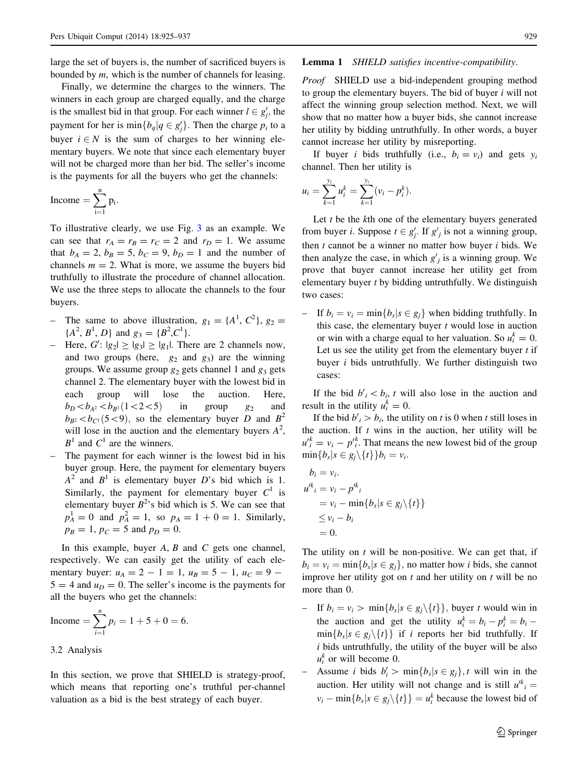<span id="page-4-0"></span>large the set of buyers is, the number of sacrificed buyers is bounded by  $m$ , which is the number of channels for leasing.

Finally, we determine the charges to the winners. The winners in each group are charged equally, and the charge is the smallest bid in that group. For each winner  $l \in g'_j$ , the payment for her is  $\min\{b_q | q \in g'_j\}$ . Then the charge  $p_i$  to a buyer  $i \in N$  is the sum of charges to her winning elementary buyers. We note that since each elementary buyer will not be charged more than her bid. The seller's income is the payments for all the buyers who get the channels:

$$
\text{Income}=\sum_{i=1}^n p_i.
$$

To illustrative clearly, we use Fig. [3](#page-3-0) as an example. We can see that  $r_A = r_B = r_C = 2$  and  $r_D = 1$ . We assume that  $b_A = 2$ ,  $b_B = 5$ ,  $b_C = 9$ ,  $b_D = 1$  and the number of channels  $m = 2$ . What is more, we assume the buyers bid truthfully to illustrate the procedure of channel allocation. We use the three steps to allocate the channels to the four buyers.

- The same to above illustration,  $g_1 = \{A^1, C^2\}$ ,  $g_2 =$  ${A^2, B^1, D}$  and  $g_3 = {B^2, C^1}$ .
- Here,  $G'$ :  $|g_2| \ge |g_3| \ge |g_1|$ . There are 2 channels now, and two groups (here,  $g_2$  and  $g_3$ ) are the winning groups. We assume group  $g_2$  gets channel 1 and  $g_3$  gets channel 2. The elementary buyer with the lowest bid in each group will lose the auction. Here,  $b_D < b_{A^2} < b_{B^1} (1 < 2 < 5)$  in group  $g_2$  and  $b_{B2} < b_{C1}$  (5 < 9), so the elementary buyer D and  $B^2$ will lose in the auction and the elementary buyers  $A^2$ ,  $B<sup>1</sup>$  and  $C<sup>1</sup>$  are the winners.
- The payment for each winner is the lowest bid in his buyer group. Here, the payment for elementary buyers  $A^2$  and  $B^1$  is elementary buyer D's bid which is 1. Similarly, the payment for elementary buyer  $C^1$  is elementary buyer  $B^2$ 's bid which is 5. We can see that  $p_A^1 = 0$  and  $p_A^2 = 1$ , so  $p_A = 1 + 0 = 1$ . Similarly,  $p_B = 1$ ,  $p_C = 5$  and  $p_D = 0$ .

In this example, buyer  $A$ ,  $B$  and  $C$  gets one channel, respectively. We can easily get the utility of each elementary buyer:  $u_A = 2 - 1 = 1$ ,  $u_B = 5 - 1$ ,  $u_C = 9 - 1$  $5 = 4$  and  $u_D = 0$ . The seller's income is the payments for all the buyers who get the channels:

$$
Income = \sum_{i=1}^{n} p_i = 1 + 5 + 0 = 6.
$$

# 3.2 Analysis

In this section, we prove that SHIELD is strategy-proof, which means that reporting one's truthful per-channel valuation as a bid is the best strategy of each buyer.

## Lemma 1 SHIELD satisfies incentive-compatibility.

Proof SHIELD use a bid-independent grouping method to group the elementary buyers. The bid of buyer i will not affect the winning group selection method. Next, we will show that no matter how a buyer bids, she cannot increase her utility by bidding untruthfully. In other words, a buyer cannot increase her utility by misreporting.

If buyer *i* bids truthfully (i.e.,  $b_i = v_i$ ) and gets  $y_i$ channel. Then her utility is

$$
u_i = \sum_{k=1}^{y_i} u_i^k = \sum_{k=1}^{y_i} (v_i - p_i^k).
$$

Let  $t$  be the  $k$ th one of the elementary buyers generated from buyer *i*. Suppose  $t \in g'_j$ . If  $g'_j$  is not a winning group, then  $t$  cannot be a winner no matter how buyer  $i$  bids. We then analyze the case, in which  $g'_{j}$  is a winning group. We prove that buyer cannot increase her utility get from elementary buyer t by bidding untruthfully. We distinguish two cases:

– If  $b_i = v_i = \min\{b_s | s \in g_i\}$  when bidding truthfully. In this case, the elementary buyer  $t$  would lose in auction or win with a charge equal to her valuation. So  $u_i^k = 0$ . Let us see the utility get from the elementary buyer  $t$  if buyer  $i$  bids untruthfully. We further distinguish two cases:

If the bid  $b_i' < b_i$ , t will also lose in the auction and result in the utility  $u_i^k = 0$ .

If the bid  $b_i' > b_i$ , the utility on t is 0 when t still loses in the auction. If  $t$  wins in the auction, her utility will be  $u_i^k = v_i - p_i^k$ . That means the new lowest bid of the group  $\min\{b_s|s\in g_i\backslash\{t\}\}b_i=v_i.$ 

$$
b_i = v_i.
$$
  
\n
$$
u'^{k_i} = v_i - p'^{k_i}
$$
  
\n
$$
= v_i - \min\{b_s | s \in g_j \setminus \{t\}\}\
$$
  
\n
$$
\leq v_i - b_i
$$
  
\n
$$
= 0.
$$

The utility on  $t$  will be non-positive. We can get that, if  $b_i = v_i = \min\{b_s | s \in g_i\}$ , no matter how *i* bids, she cannot improve her utility got on  $t$  and her utility on  $t$  will be no more than 0.

- If  $b_i = v_i > \min\{b_s | s \in g_i \setminus \{t\}\}\$ , buyer t would win in the auction and get the utility  $u_i^k = b_i - p_i^k = b_i$  $\min\{b_s | s \in g_i \setminus \{t\}\}\$ if i reports her bid truthfully. If  $i$  bids untruthfully, the utility of the buyer will be also  $u_i^k$  or will become 0.
- Assume *i* bids  $b'_i > \min\{b_s | s \in g_j\}$ , *t* will win in the auction. Her utility will not change and is still  $u^{ik}$ <sub>i</sub> =  $v_i - \min\{b_s | s \in g_j \setminus \{t\}\} = u_i^k$  because the lowest bid of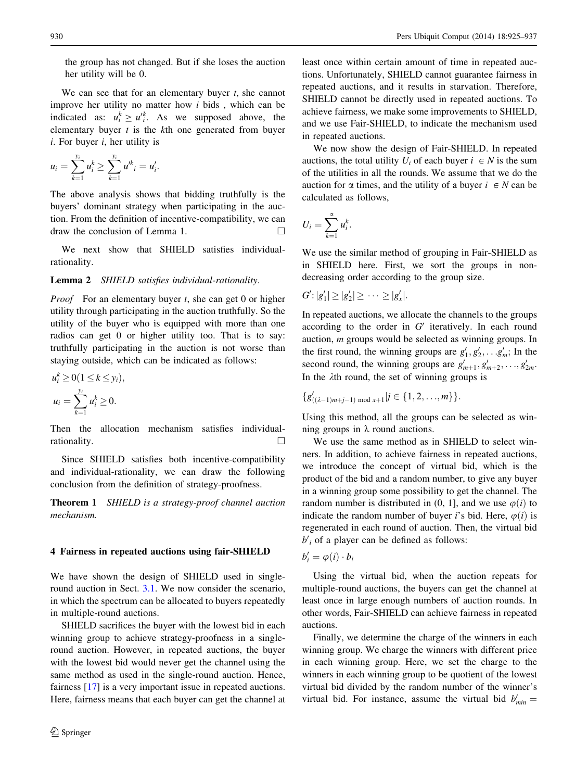<span id="page-5-0"></span>the group has not changed. But if she loses the auction her utility will be 0.

We can see that for an elementary buyer  $t$ , she cannot improve her utility no matter how  $i$  bids, which can be indicated as:  $u_i^k \geq u_i^k$ . As we supposed above, the elementary buyer  $t$  is the  $k$ th one generated from buyer  $i.$  For buyer  $i,$  her utility is

$$
u_i = \sum_{k=1}^{y_i} u_i^k \ge \sum_{k=1}^{y_i} u_i^k = u_i'.
$$

The above analysis shows that bidding truthfully is the buyers' dominant strategy when participating in the auction. From the definition of incentive-compatibility, we can draw the conclusion of Lemma 1.  $\Box$ 

We next show that SHIELD satisfies individualrationality.

#### Lemma 2 SHIELD satisfies individual-rationality.

*Proof* For an elementary buyer  $t$ , she can get 0 or higher utility through participating in the auction truthfully. So the utility of the buyer who is equipped with more than one radios can get 0 or higher utility too. That is to say: truthfully participating in the auction is not worse than staying outside, which can be indicated as follows:

$$
u_i^k \ge 0 \quad (1 \le k \le y_i),
$$
  

$$
u_i = \sum_{k=1}^{y_i} u_i^k \ge 0.
$$

Then the allocation mechanism satisfies individualrationality.  $\Box$ 

Since SHIELD satisfies both incentive-compatibility and individual-rationality, we can draw the following conclusion from the definition of strategy-proofness.

Theorem 1 SHIELD is a strategy-proof channel auction mechanism.

#### 4 Fairness in repeated auctions using fair-SHIELD

We have shown the design of SHIELD used in single-round auction in Sect. [3.1](#page-3-0). We now consider the scenario, in which the spectrum can be allocated to buyers repeatedly in multiple-round auctions.

SHIELD sacrifices the buyer with the lowest bid in each winning group to achieve strategy-proofness in a singleround auction. However, in repeated auctions, the buyer with the lowest bid would never get the channel using the same method as used in the single-round auction. Hence, fairness [\[17](#page-11-0)] is a very important issue in repeated auctions. Here, fairness means that each buyer can get the channel at least once within certain amount of time in repeated auctions. Unfortunately, SHIELD cannot guarantee fairness in repeated auctions, and it results in starvation. Therefore, SHIELD cannot be directly used in repeated auctions. To achieve fairness, we make some improvements to SHIELD, and we use Fair-SHIELD, to indicate the mechanism used in repeated auctions.

We now show the design of Fair-SHIELD. In repeated auctions, the total utility  $U_i$  of each buyer  $i \in N$  is the sum of the utilities in all the rounds. We assume that we do the auction for  $\alpha$  times, and the utility of a buyer  $i \in N$  can be calculated as follows,

$$
U_i=\sum_{k=1}^{\alpha}u_i^k.
$$

We use the similar method of grouping in Fair-SHIELD as in SHIELD here. First, we sort the groups in nondecreasing order according to the group size.

$$
G':|g_1'|\geq |g_2'|\geq \cdots \geq |g_x'|.
$$

In repeated auctions, we allocate the channels to the groups according to the order in  $G'$  iteratively. In each round auction, m groups would be selected as winning groups. In the first round, the winning groups are  $g'_1, g'_2, \ldots, g'_m$ ; In the second round, the winning groups are  $g'_{m+1}, g'_{m+2}, \ldots, g'_{2m}$ . In the  $\lambda$ th round, the set of winning groups is

$$
\{g'_{((\lambda-1)m+j-1) \bmod x+1}|j \in \{1,2,\ldots,m\}\}.
$$

Using this method, all the groups can be selected as winning groups in  $\lambda$  round auctions.

We use the same method as in SHIELD to select winners. In addition, to achieve fairness in repeated auctions, we introduce the concept of virtual bid, which is the product of the bid and a random number, to give any buyer in a winning group some possibility to get the channel. The random number is distributed in (0, 1), and we use  $\varphi(i)$  to indicate the random number of buyer i's bid. Here,  $\varphi(i)$  is regenerated in each round of auction. Then, the virtual bid  $b_i$  of a player can be defined as follows:

$$
b_i' = \varphi(i) \cdot b_i
$$

Using the virtual bid, when the auction repeats for multiple-round auctions, the buyers can get the channel at least once in large enough numbers of auction rounds. In other words, Fair-SHIELD can achieve fairness in repeated auctions.

Finally, we determine the charge of the winners in each winning group. We charge the winners with different price in each winning group. Here, we set the charge to the winners in each winning group to be quotient of the lowest virtual bid divided by the random number of the winner's virtual bid. For instance, assume the virtual bid  $b'_{min} =$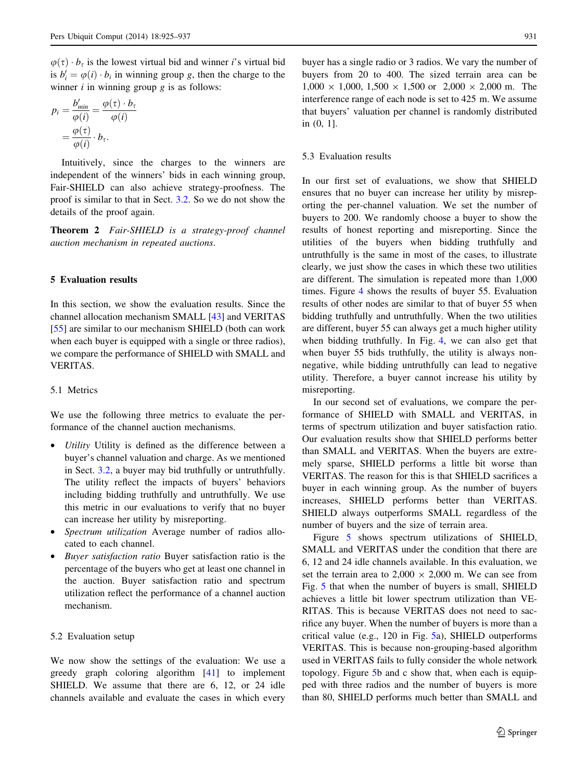$\varphi(\tau) \cdot b_{\tau}$  is the lowest virtual bid and winner *i*'s virtual bid is  $b'_i = \varphi(i) \cdot b_i$  in winning group g, then the charge to the winner *i* in winning group *g* is as follows:

$$
p_i = \frac{b'_{min}}{\varphi(i)} = \frac{\varphi(\tau) \cdot b_{\tau}}{\varphi(i)}
$$

$$
= \frac{\varphi(\tau)}{\varphi(i)} \cdot b_{\tau}.
$$

Intuitively, since the charges to the winners are independent of the winners' bids in each winning group, Fair-SHIELD can also achieve strategy-proofness. The proof is similar to that in Sect. [3.2.](#page-4-0) So we do not show the details of the proof again.

Theorem 2 Fair-SHIELD is a strategy-proof channel auction mechanism in repeated auctions.

#### 5 Evaluation results

In this section, we show the evaluation results. Since the channel allocation mechanism SMALL [\[43](#page-12-0)] and VERITAS [\[55](#page-12-0)] are similar to our mechanism SHIELD (both can work when each buyer is equipped with a single or three radios), we compare the performance of SHIELD with SMALL and VERITAS.

## 5.1 Metrics

We use the following three metrics to evaluate the performance of the channel auction mechanisms.

- *Utility* Utility is defined as the difference between a buyer's channel valuation and charge. As we mentioned in Sect. [3.2,](#page-4-0) a buyer may bid truthfully or untruthfully. The utility reflect the impacts of buyers' behaviors including bidding truthfully and untruthfully. We use this metric in our evaluations to verify that no buyer can increase her utility by misreporting.
- Spectrum utilization Average number of radios allocated to each channel.
- Buyer satisfaction ratio Buyer satisfaction ratio is the percentage of the buyers who get at least one channel in the auction. Buyer satisfaction ratio and spectrum utilization reflect the performance of a channel auction mechanism.

#### 5.2 Evaluation setup

We now show the settings of the evaluation: We use a greedy graph coloring algorithm [[41\]](#page-12-0) to implement SHIELD. We assume that there are 6, 12, or 24 idle channels available and evaluate the cases in which every

buyer has a single radio or 3 radios. We vary the number of buyers from 20 to 400. The sized terrain area can be  $1,000 \times 1,000, 1,500 \times 1,500$  or  $2,000 \times 2,000$  m. The interference range of each node is set to 425 m. We assume that buyers' valuation per channel is randomly distributed in (0, 1].

# 5.3 Evaluation results

In our first set of evaluations, we show that SHIELD ensures that no buyer can increase her utility by misreporting the per-channel valuation. We set the number of buyers to 200. We randomly choose a buyer to show the results of honest reporting and misreporting. Since the utilities of the buyers when bidding truthfully and untruthfully is the same in most of the cases, to illustrate clearly, we just show the cases in which these two utilities are different. The simulation is repeated more than 1,000 times. Figure [4](#page-7-0) shows the results of buyer 55. Evaluation results of other nodes are similar to that of buyer 55 when bidding truthfully and untruthfully. When the two utilities are different, buyer 55 can always get a much higher utility when bidding truthfully. In Fig. [4,](#page-7-0) we can also get that when buyer 55 bids truthfully, the utility is always nonnegative, while bidding untruthfully can lead to negative utility. Therefore, a buyer cannot increase his utility by misreporting.

In our second set of evaluations, we compare the performance of SHIELD with SMALL and VERITAS, in terms of spectrum utilization and buyer satisfaction ratio. Our evaluation results show that SHIELD performs better than SMALL and VERITAS. When the buyers are extremely sparse, SHIELD performs a little bit worse than VERITAS. The reason for this is that SHIELD sacrifices a buyer in each winning group. As the number of buyers increases, SHIELD performs better than VERITAS. SHIELD always outperforms SMALL regardless of the number of buyers and the size of terrain area.

Figure [5](#page-7-0) shows spectrum utilizations of SHIELD, SMALL and VERITAS under the condition that there are 6, 12 and 24 idle channels available. In this evaluation, we set the terrain area to  $2,000 \times 2,000$  m. We can see from Fig. [5](#page-7-0) that when the number of buyers is small, SHIELD achieves a little bit lower spectrum utilization than VE-RITAS. This is because VERITAS does not need to sacrifice any buyer. When the number of buyers is more than a critical value (e.g., 120 in Fig. [5](#page-7-0)a), SHIELD outperforms VERITAS. This is because non-grouping-based algorithm used in VERITAS fails to fully consider the whole network topology. Figure [5b](#page-7-0) and c show that, when each is equipped with three radios and the number of buyers is more than 80, SHIELD performs much better than SMALL and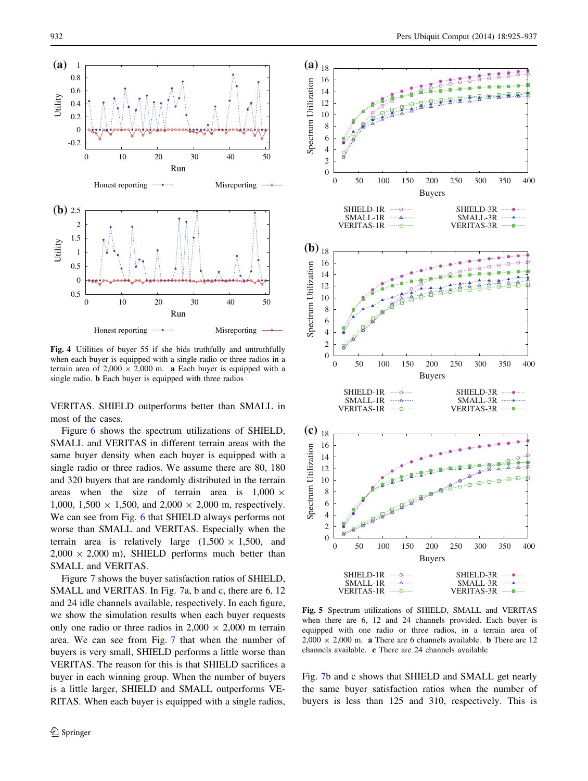<span id="page-7-0"></span>

Fig. 4 Utilities of buyer 55 if she bids truthfully and untruthfully when each buyer is equipped with a single radio or three radios in a terrain area of  $2,000 \times 2,000$  m. **a** Each buyer is equipped with a single radio. b Each buyer is equipped with three radios

VERITAS. SHIELD outperforms better than SMALL in most of the cases.

Figure [6](#page-8-0) shows the spectrum utilizations of SHIELD, SMALL and VERITAS in different terrain areas with the same buyer density when each buyer is equipped with a single radio or three radios. We assume there are 80, 180 and 320 buyers that are randomly distributed in the terrain areas when the size of terrain area is  $1,000 \times$ 1,000, 1,500  $\times$  1,500, and 2,000  $\times$  2,000 m, respectively. We can see from Fig. [6](#page-8-0) that SHIELD always performs not worse than SMALL and VERITAS. Especially when the terrain area is relatively large  $(1,500 \times 1,500,$  and  $2,000 \times 2,000$  m), SHIELD performs much better than SMALL and VERITAS.

Figure [7](#page-8-0) shows the buyer satisfaction ratios of SHIELD, SMALL and VERITAS. In Fig. [7](#page-8-0)a, b and c, there are 6, 12 and 24 idle channels available, respectively. In each figure, we show the simulation results when each buyer requests only one radio or three radios in  $2,000 \times 2,000$  m terrain area. We can see from Fig. [7](#page-8-0) that when the number of buyers is very small, SHIELD performs a little worse than VERITAS. The reason for this is that SHIELD sacrifices a buyer in each winning group. When the number of buyers is a little larger, SHIELD and SMALL outperforms VE-RITAS. When each buyer is equipped with a single radios,



Fig. 5 Spectrum utilizations of SHIELD, SMALL and VERITAS when there are 6, 12 and 24 channels provided. Each buyer is equipped with one radio or three radios, in a terrain area of  $2,000 \times 2,000$  m. **a** There are 6 channels available. **b** There are 12 channels available. c There are 24 channels available

Fig. [7](#page-8-0)b and c shows that SHIELD and SMALL get nearly the same buyer satisfaction ratios when the number of buyers is less than 125 and 310, respectively. This is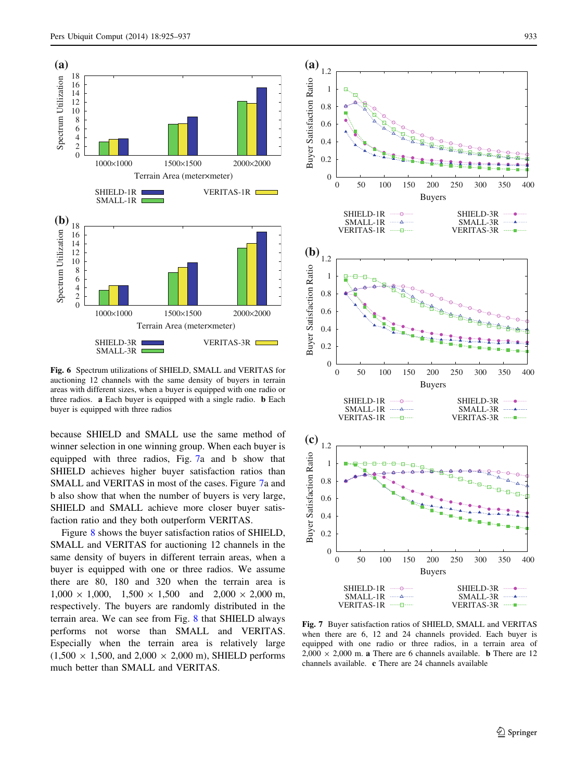<span id="page-8-0"></span>

Fig. 6 Spectrum utilizations of SHIELD, SMALL and VERITAS for auctioning 12 channels with the same density of buyers in terrain areas with different sizes, when a buyer is equipped with one radio or three radios. a Each buyer is equipped with a single radio. b Each buyer is equipped with three radios

because SHIELD and SMALL use the same method of winner selection in one winning group. When each buyer is equipped with three radios, Fig. 7a and b show that SHIELD achieves higher buyer satisfaction ratios than SMALL and VERITAS in most of the cases. Figure 7a and b also show that when the number of buyers is very large, SHIELD and SMALL achieve more closer buyer satisfaction ratio and they both outperform VERITAS.

Figure [8](#page-9-0) shows the buyer satisfaction ratios of SHIELD, SMALL and VERITAS for auctioning 12 channels in the same density of buyers in different terrain areas, when a buyer is equipped with one or three radios. We assume there are 80, 180 and 320 when the terrain area is  $1,000 \times 1,000$ ,  $1,500 \times 1,500$  and  $2,000 \times 2,000$  m, respectively. The buyers are randomly distributed in the terrain area. We can see from Fig. [8](#page-9-0) that SHIELD always performs not worse than SMALL and VERITAS. Especially when the terrain area is relatively large  $(1,500 \times 1,500, \text{ and } 2,000 \times 2,000 \text{ m})$ , SHIELD performs much better than SMALL and VERITAS.





Fig. 7 Buyer satisfaction ratios of SHIELD, SMALL and VERITAS when there are 6, 12 and 24 channels provided. Each buyer is equipped with one radio or three radios, in a terrain area of  $2,000 \times 2,000$  m. **a** There are 6 channels available. **b** There are 12 channels available. c There are 24 channels available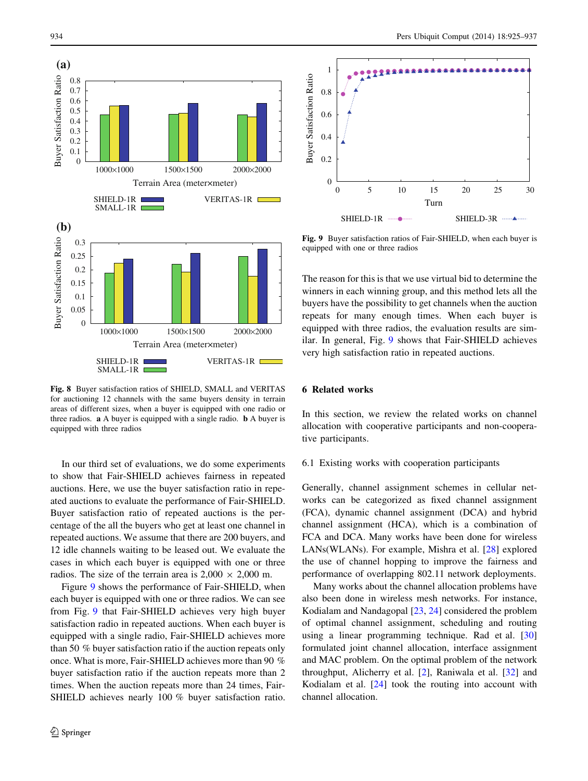<span id="page-9-0"></span>

Fig. 8 Buyer satisfaction ratios of SHIELD, SMALL and VERITAS for auctioning 12 channels with the same buyers density in terrain areas of different sizes, when a buyer is equipped with one radio or three radios. a A buyer is equipped with a single radio. b A buyer is equipped with three radios

In our third set of evaluations, we do some experiments to show that Fair-SHIELD achieves fairness in repeated auctions. Here, we use the buyer satisfaction ratio in repeated auctions to evaluate the performance of Fair-SHIELD. Buyer satisfaction ratio of repeated auctions is the percentage of the all the buyers who get at least one channel in repeated auctions. We assume that there are 200 buyers, and 12 idle channels waiting to be leased out. We evaluate the cases in which each buyer is equipped with one or three radios. The size of the terrain area is  $2,000 \times 2,000$  m.

Figure 9 shows the performance of Fair-SHIELD, when each buyer is equipped with one or three radios. We can see from Fig. 9 that Fair-SHIELD achieves very high buyer satisfaction radio in repeated auctions. When each buyer is equipped with a single radio, Fair-SHIELD achieves more than 50 % buyer satisfaction ratio if the auction repeats only once. What is more, Fair-SHIELD achieves more than 90 % buyer satisfaction ratio if the auction repeats more than 2 times. When the auction repeats more than 24 times, Fair-SHIELD achieves nearly 100 % buyer satisfaction ratio.



Fig. 9 Buyer satisfaction ratios of Fair-SHIELD, when each buyer is equipped with one or three radios

The reason for this is that we use virtual bid to determine the winners in each winning group, and this method lets all the buyers have the possibility to get channels when the auction repeats for many enough times. When each buyer is equipped with three radios, the evaluation results are similar. In general, Fig. 9 shows that Fair-SHIELD achieves very high satisfaction ratio in repeated auctions.

# 6 Related works

In this section, we review the related works on channel allocation with cooperative participants and non-cooperative participants.

#### 6.1 Existing works with cooperation participants

Generally, channel assignment schemes in cellular networks can be categorized as fixed channel assignment (FCA), dynamic channel assignment (DCA) and hybrid channel assignment (HCA), which is a combination of FCA and DCA. Many works have been done for wireless LANs(WLANs). For example, Mishra et al. [[28\]](#page-11-0) explored the use of channel hopping to improve the fairness and performance of overlapping 802.11 network deployments.

Many works about the channel allocation problems have also been done in wireless mesh networks. For instance, Kodialam and Nandagopal [\[23](#page-11-0), [24](#page-11-0)] considered the problem of optimal channel assignment, scheduling and routing using a linear programming technique. Rad et al. [[30\]](#page-11-0) formulated joint channel allocation, interface assignment and MAC problem. On the optimal problem of the network throughput, Alicherry et al. [\[2](#page-11-0)], Raniwala et al. [\[32](#page-11-0)] and Kodialam et al. [[24\]](#page-11-0) took the routing into account with channel allocation.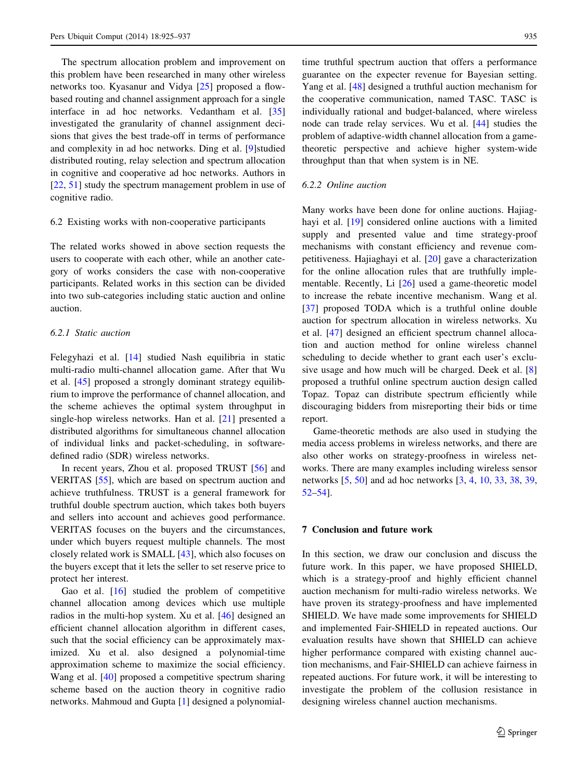<span id="page-10-0"></span>The spectrum allocation problem and improvement on this problem have been researched in many other wireless networks too. Kyasanur and Vidya [\[25](#page-11-0)] proposed a flowbased routing and channel assignment approach for a single interface in ad hoc networks. Vedantham et al. [[35\]](#page-12-0) investigated the granularity of channel assignment decisions that gives the best trade-off in terms of performance and complexity in ad hoc networks. Ding et al. [[9\]](#page-11-0)studied distributed routing, relay selection and spectrum allocation in cognitive and cooperative ad hoc networks. Authors in [\[22](#page-11-0), [51\]](#page-12-0) study the spectrum management problem in use of cognitive radio.

# 6.2 Existing works with non-cooperative participants

The related works showed in above section requests the users to cooperate with each other, while an another category of works considers the case with non-cooperative participants. Related works in this section can be divided into two sub-categories including static auction and online auction.

# 6.2.1 Static auction

Felegyhazi et al. [\[14](#page-11-0)] studied Nash equilibria in static multi-radio multi-channel allocation game. After that Wu et al. [\[45](#page-12-0)] proposed a strongly dominant strategy equilibrium to improve the performance of channel allocation, and the scheme achieves the optimal system throughput in single-hop wireless networks. Han et al. [\[21](#page-11-0)] presented a distributed algorithms for simultaneous channel allocation of individual links and packet-scheduling, in softwaredefined radio (SDR) wireless networks.

In recent years, Zhou et al. proposed TRUST [[56\]](#page-12-0) and VERITAS [[55\]](#page-12-0), which are based on spectrum auction and achieve truthfulness. TRUST is a general framework for truthful double spectrum auction, which takes both buyers and sellers into account and achieves good performance. VERITAS focuses on the buyers and the circumstances, under which buyers request multiple channels. The most closely related work is SMALL [\[43](#page-12-0)], which also focuses on the buyers except that it lets the seller to set reserve price to protect her interest.

Gao et al. [[16\]](#page-11-0) studied the problem of competitive channel allocation among devices which use multiple radios in the multi-hop system. Xu et al. [\[46](#page-12-0)] designed an efficient channel allocation algorithm in different cases, such that the social efficiency can be approximately maximized. Xu et al. also designed a polynomial-time approximation scheme to maximize the social efficiency. Wang et al. [\[40](#page-12-0)] proposed a competitive spectrum sharing scheme based on the auction theory in cognitive radio networks. Mahmoud and Gupta [[1\]](#page-11-0) designed a polynomial-

time truthful spectrum auction that offers a performance guarantee on the expecter revenue for Bayesian setting. Yang et al. [\[48](#page-12-0)] designed a truthful auction mechanism for the cooperative communication, named TASC. TASC is individually rational and budget-balanced, where wireless node can trade relay services. Wu et al. [\[44](#page-12-0)] studies the problem of adaptive-width channel allocation from a gametheoretic perspective and achieve higher system-wide throughput than that when system is in NE.

# 6.2.2 Online auction

Many works have been done for online auctions. Hajiag-hayi et al. [[19\]](#page-11-0) considered online auctions with a limited supply and presented value and time strategy-proof mechanisms with constant efficiency and revenue competitiveness. Hajiaghayi et al. [\[20](#page-11-0)] gave a characterization for the online allocation rules that are truthfully implementable. Recently, Li [\[26](#page-11-0)] used a game-theoretic model to increase the rebate incentive mechanism. Wang et al. [\[37](#page-12-0)] proposed TODA which is a truthful online double auction for spectrum allocation in wireless networks. Xu et al. [[47\]](#page-12-0) designed an efficient spectrum channel allocation and auction method for online wireless channel scheduling to decide whether to grant each user's exclusive usage and how much will be charged. Deek et al. [[8\]](#page-11-0) proposed a truthful online spectrum auction design called Topaz. Topaz can distribute spectrum efficiently while discouraging bidders from misreporting their bids or time report.

Game-theoretic methods are also used in studying the media access problems in wireless networks, and there are also other works on strategy-proofness in wireless networks. There are many examples including wireless sensor networks [[5,](#page-11-0) [50](#page-12-0)] and ad hoc networks [\[3](#page-11-0), [4](#page-11-0), [10,](#page-11-0) [33](#page-11-0), [38](#page-12-0), [39,](#page-12-0) [52–54](#page-12-0)].

#### 7 Conclusion and future work

In this section, we draw our conclusion and discuss the future work. In this paper, we have proposed SHIELD, which is a strategy-proof and highly efficient channel auction mechanism for multi-radio wireless networks. We have proven its strategy-proofness and have implemented SHIELD. We have made some improvements for SHIELD and implemented Fair-SHIELD in repeated auctions. Our evaluation results have shown that SHIELD can achieve higher performance compared with existing channel auction mechanisms, and Fair-SHIELD can achieve fairness in repeated auctions. For future work, it will be interesting to investigate the problem of the collusion resistance in designing wireless channel auction mechanisms.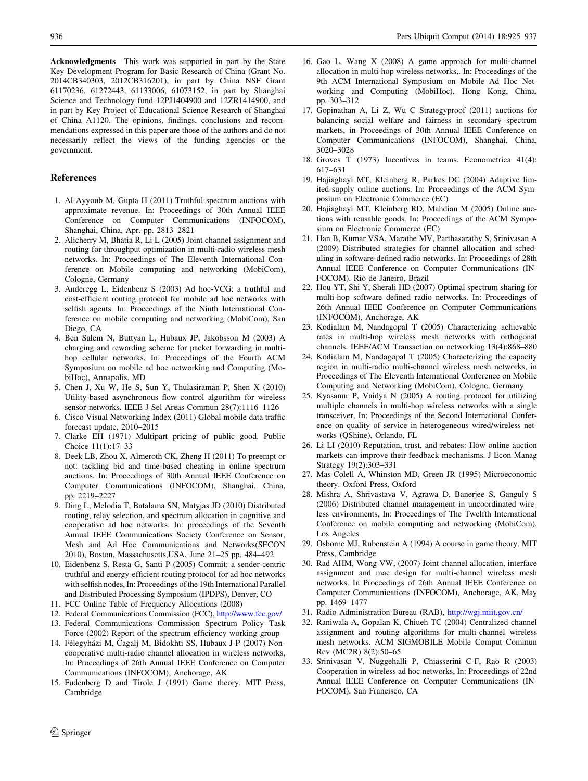<span id="page-11-0"></span>Acknowledgments This work was supported in part by the State Key Development Program for Basic Research of China (Grant No. 2014CB340303, 2012CB316201), in part by China NSF Grant 61170236, 61272443, 61133006, 61073152, in part by Shanghai Science and Technology fund 12PJ1404900 and 12ZR1414900, and in part by Key Project of Educational Science Research of Shanghai of China A1120. The opinions, findings, conclusions and recommendations expressed in this paper are those of the authors and do not necessarily reflect the views of the funding agencies or the government.

#### References

- 1. Al-Ayyoub M, Gupta H (2011) Truthful spectrum auctions with approximate revenue. In: Proceedings of 30th Annual IEEE Conference on Computer Communications (INFOCOM), Shanghai, China, Apr. pp. 2813–2821
- 2. Alicherry M, Bhatia R, Li L (2005) Joint channel assignment and routing for throughput optimization in multi-radio wireless mesh networks. In: Proceedings of The Eleventh International Conference on Mobile computing and networking (MobiCom), Cologne, Germany
- 3. Anderegg L, Eidenbenz S (2003) Ad hoc-VCG: a truthful and cost-efficient routing protocol for mobile ad hoc networks with selfish agents. In: Proceedings of the Ninth International Conference on mobile computing and networking (MobiCom), San Diego, CA
- 4. Ben Salem N, Buttyan L, Hubaux JP, Jakobsson M (2003) A charging and rewarding scheme for packet forwarding in multihop cellular networks. In: Proceedings of the Fourth ACM Symposium on mobile ad hoc networking and Computing (MobiHoc), Annapolis, MD
- 5. Chen J, Xu W, He S, Sun Y, Thulasiraman P, Shen X (2010) Utility-based asynchronous flow control algorithm for wireless sensor networks. IEEE J Sel Areas Commun 28(7):1116–1126
- 6. Cisco Visual Networking Index (2011) Global mobile data traffic forecast update, 2010–2015
- 7. Clarke EH (1971) Multipart pricing of public good. Public Choice 11(1):17–33
- 8. Deek LB, Zhou X, Almeroth CK, Zheng H (2011) To preempt or not: tackling bid and time-based cheating in online spectrum auctions. In: Proceedings of 30th Annual IEEE Conference on Computer Communications (INFOCOM), Shanghai, China, pp. 2219–2227
- 9. Ding L, Melodia T, Batalama SN, Matyjas JD (2010) Distributed routing, relay selection, and spectrum allocation in cognitive and cooperative ad hoc networks. In: proceedings of the Seventh Annual IEEE Communications Society Conference on Sensor, Mesh and Ad Hoc Communications and Networks(SECON 2010), Boston, Massachusetts,USA, June 21–25 pp. 484–492
- 10. Eidenbenz S, Resta G, Santi P (2005) Commit: a sender-centric truthful and energy-efficient routing protocol for ad hoc networks with selfish nodes, In: Proceedings of the 19th International Parallel and Distributed Processing Symposium (IPDPS), Denver, CO
- 11. FCC Online Table of Frequency Allocations (2008)
- 12. Federal Communications Commission (FCC), <http://www.fcc.gov/>
- 13. Federal Communications Commission Spectrum Policy Task Force (2002) Report of the spectrum efficiency working group
- 14. Félegyházi M, Čagalj M, Bidokhti SS, Hubaux J-P (2007) Noncooperative multi-radio channel allocation in wireless networks, In: Proceedings of 26th Annual IEEE Conference on Computer Communications (INFOCOM), Anchorage, AK
- 15. Fudenberg D and Tirole J (1991) Game theory. MIT Press, Cambridge
- 16. Gao L, Wang X (2008) A game approach for multi-channel allocation in multi-hop wireless networks,. In: Proceedings of the 9th ACM International Symposium on Mobile Ad Hoc Networking and Computing (MobiHoc), Hong Kong, China, pp. 303–312
- 17. Gopinathan A, Li Z, Wu C Strategyproof (2011) auctions for balancing social welfare and fairness in secondary spectrum markets, in Proceedings of 30th Annual IEEE Conference on Computer Communications (INFOCOM), Shanghai, China, 3020–3028
- 18. Groves T (1973) Incentives in teams. Econometrica 41(4): 617–631
- 19. Hajiaghayi MT, Kleinberg R, Parkes DC (2004) Adaptive limited-supply online auctions. In: Proceedings of the ACM Symposium on Electronic Commerce (EC)
- 20. Hajiaghayi MT, Kleinberg RD, Mahdian M (2005) Online auctions with reusable goods. In: Proceedings of the ACM Symposium on Electronic Commerce (EC)
- 21. Han B, Kumar VSA, Marathe MV, Parthasarathy S, Srinivasan A (2009) Distributed strategies for channel allocation and scheduling in software-defined radio networks. In: Proceedings of 28th Annual IEEE Conference on Computer Communications (IN-FOCOM). Rio de Janeiro, Brazil
- 22. Hou YT, Shi Y, Sherali HD (2007) Optimal spectrum sharing for multi-hop software defined radio networks. In: Proceedings of 26th Annual IEEE Conference on Computer Communications (INFOCOM), Anchorage, AK
- 23. Kodialam M, Nandagopal T (2005) Characterizing achievable rates in multi-hop wireless mesh networks with orthogonal channels. IEEE/ACM Transaction on networking 13(4):868–880
- 24. Kodialam M, Nandagopal T (2005) Characterizing the capacity region in multi-radio multi-channel wireless mesh networks, in Proceedings of The Eleventh International Conference on Mobile Computing and Networking (MobiCom), Cologne, Germany
- 25. Kyasanur P, Vaidya N (2005) A routing protocol for utilizing multiple channels in multi-hop wireless networks with a single transceiver, In: Proceedings of the Second International Conference on quality of service in heterogeneous wired/wireless networks (QShine), Orlando, FL
- 26. Li LI (2010) Reputation, trust, and rebates: How online auction markets can improve their feedback mechanisms. J Econ Manag Strategy 19(2):303–331
- 27. Mas-Colell A, Whinston MD, Green JR (1995) Microeconomic theory. Oxford Press, Oxford
- 28. Mishra A, Shrivastava V, Agrawa D, Banerjee S, Ganguly S (2006) Distributed channel management in uncoordinated wireless environments, In: Proceedings of The Twelfth International Conference on mobile computing and networking (MobiCom), Los Angeles
- 29. Osborne MJ, Rubenstein A (1994) A course in game theory. MIT Press, Cambridge
- 30. Rad AHM, Wong VW, (2007) Joint channel allocation, interface assignment and mac design for multi-channel wireless mesh networks. In Proceedings of 26th Annual IEEE Conference on Computer Communications (INFOCOM), Anchorage, AK, May pp. 1469–1477
- 31. Radio Administration Bureau (RAB), <http://wgj.miit.gov.cn/>
- 32. Raniwala A, Gopalan K, Chiueh TC (2004) Centralized channel assignment and routing algorithms for multi-channel wireless mesh networks. ACM SIGMOBILE Mobile Comput Commun Rev (MC2R) 8(2):50–65
- 33. Srinivasan V, Nuggehalli P, Chiasserini C-F, Rao R (2003) Cooperation in wireless ad hoc networks, In: Proceedings of 22nd Annual IEEE Conference on Computer Communications (IN-FOCOM), San Francisco, CA